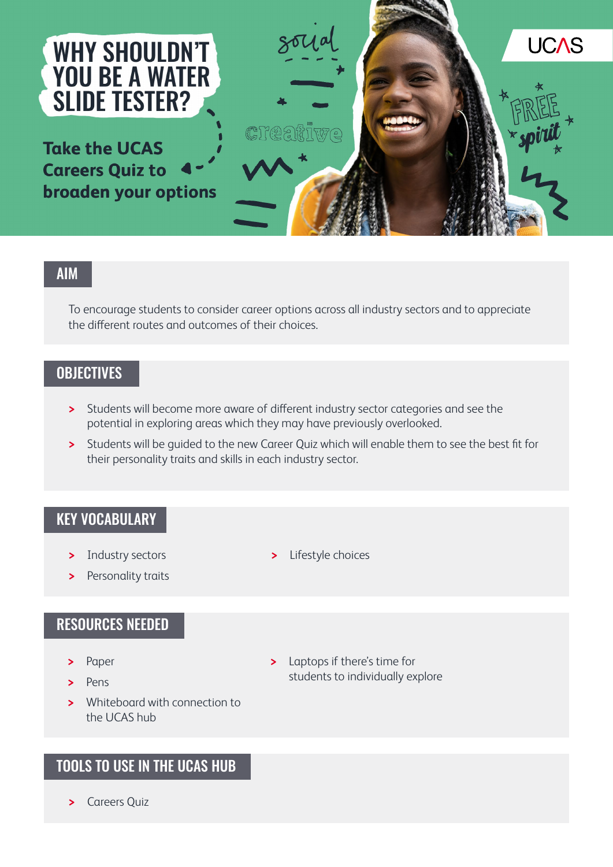

**Take the UCAS Careers Quiz to broaden your options** 



### AIM

To encourage students to consider career options across all industry sectors and to appreciate the different routes and outcomes of their choices.

# **OBJECTIVES**

- **>** Students will become more aware of different industry sector categories and see the potential in exploring areas which they may have previously overlooked.
- **>** Students will be guided to the new Career Quiz which will enable them to see the best fit for their personality traits and skills in each industry sector.

#### KEY VOCABULARY

- **>** Industry sectors
- **>** Personality traits

### RESOURCES NEEDED

- **>** Paper
- **>** Pens
- **>** Whiteboard with connection to the UCAS hub

# TOOLS TO USE IN THE UCAS HUB

**>** Careers Quiz

- **>** Lifestyle choices
- **>** Laptops if there's time for students to individually explore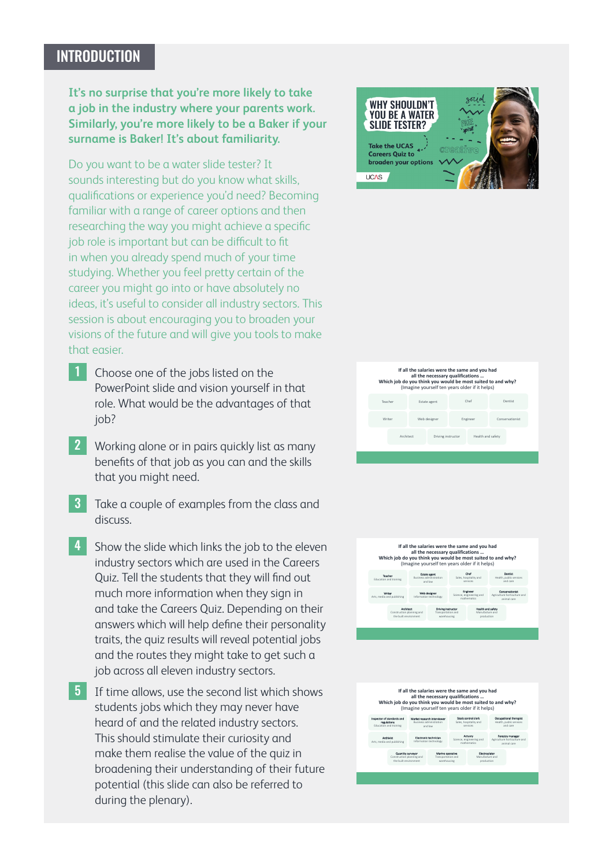# **INTRODUCTION**

**It's no surprise that you're more likely to take a job in the industry where your parents work. Similarly, you're more likely to be a Baker if your surname is Baker! It's about familiarity.**

Do you want to be a water slide tester? It sounds interesting but do you know what skills, qualifications or experience you'd need? Becoming familiar with a range of career options and then researching the way you might achieve a specific job role is important but can be difficult to fit in when you already spend much of your time studying. Whether you feel pretty certain of the career you might go into or have absolutely no ideas, it's useful to consider all industry sectors. This session is about encouraging you to broaden your visions of the future and will give you tools to make that easier.

- 1 Choose one of the jobs listed on the PowerPoint slide and vision yourself in that role. What would be the advantages of that job?
- 2 Working alone or in pairs quickly list as many benefits of that job as you can and the skills that you might need.
- 3 Take a couple of examples from the class and discuss.
- 4 Show the slide which links the job to the eleven industry sectors which are used in the Careers Quiz. Tell the students that they will find out much more information when they sign in and take the Careers Quiz. Depending on their answers which will help define their personality traits, the quiz results will reveal potential jobs and the routes they might take to get such a job across all eleven industry sectors.
- **5** If time allows, use the second list which shows students jobs which they may never have heard of and the related industry sectors. This should stimulate their curiosity and make them realise the value of the quiz in broadening their understanding of their future potential (this slide can also be referred to during the plenary).